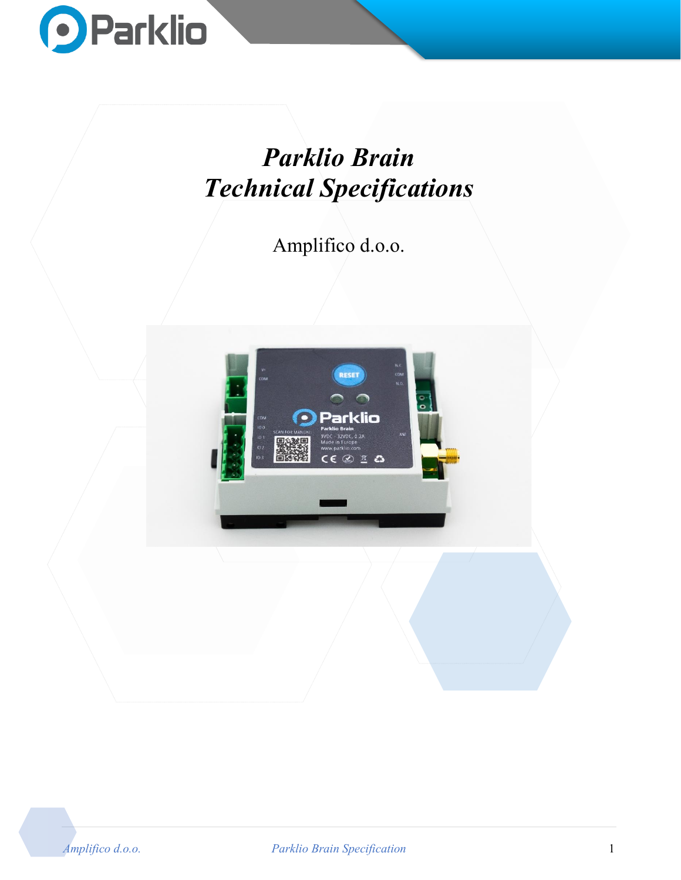

# *Parklio Brain Technical Specifications*

Amplifico d.o.o.



*Amplifico d.o.o. Parklio Brain Specification* 1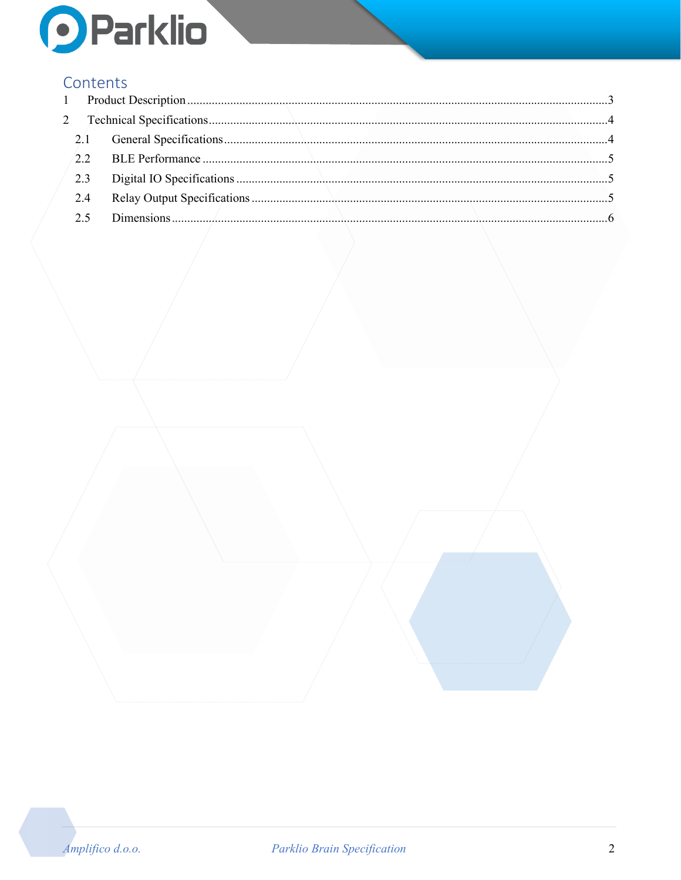

#### Contents

|  | 2.4 |  |
|--|-----|--|
|  |     |  |
|  |     |  |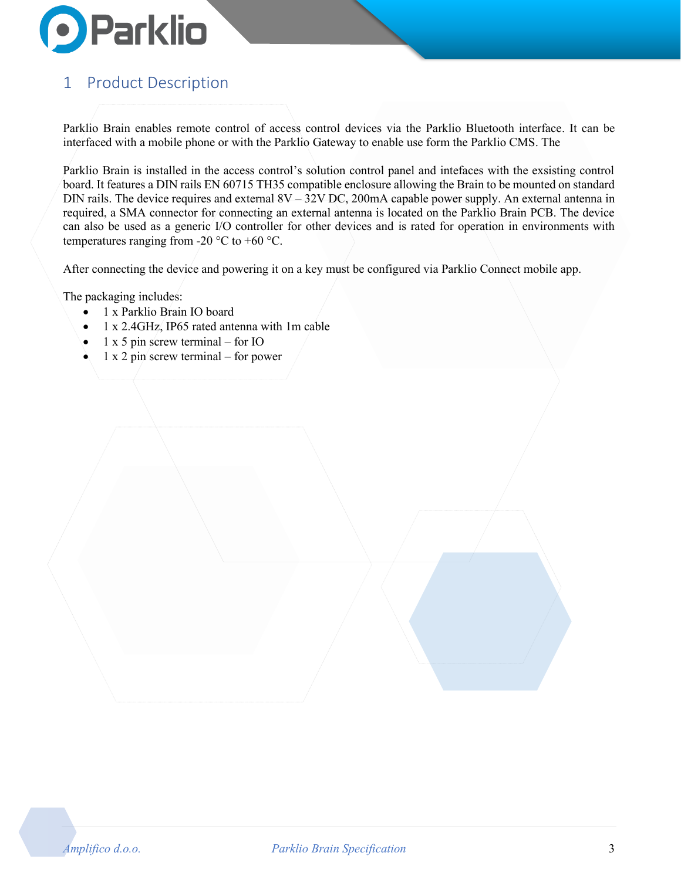

## <span id="page-2-0"></span>1 Product Description

Parklio Brain enables remote control of access control devices via the Parklio Bluetooth interface. It can be interfaced with a mobile phone or with the Parklio Gateway to enable use form the Parklio CMS. The

Parklio Brain is installed in the access control's solution control panel and intefaces with the exsisting control board. It features a DIN rails EN 60715 TH35 compatible enclosure allowing the Brain to be mounted on standard DIN rails. The device requires and external 8V – 32V DC, 200mA capable power supply. An external antenna in required, a SMA connector for connecting an external antenna is located on the Parklio Brain PCB. The device can also be used as a generic I/O controller for other devices and is rated for operation in environments with temperatures ranging from -20  $\degree$ C to +60  $\degree$ C.

After connecting the device and powering it on a key must be configured via Parklio Connect mobile app.

The packaging includes:

- 1 x Parklio Brain IO board
- 1 x 2.4GHz, IP65 rated antenna with 1m cable
- 1 x 5 pin screw terminal for IO
- $1 \times 2$  pin screw terminal for power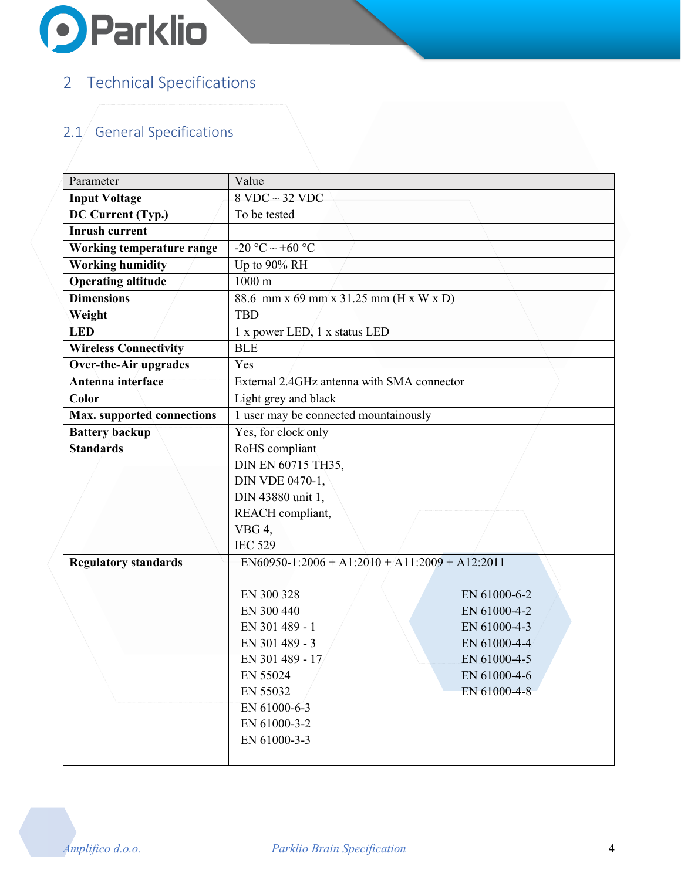

## <span id="page-3-0"></span>2 Technical Specifications

## <span id="page-3-1"></span> $2.1/$  General Specifications

| Parameter                    | Value                                      |              |
|------------------------------|--------------------------------------------|--------------|
| <b>Input Voltage</b>         | $8$ VDC $\sim$ 32 VDC                      |              |
| DC Current (Typ.)            | To be tested                               |              |
| <b>Inrush current</b>        |                                            |              |
| Working temperature range    | -20 °C $\sim$ +60 °C                       |              |
| <b>Working humidity</b>      | Up to 90% RH                               |              |
| <b>Operating altitude</b>    | $1000 \text{ m}$                           |              |
| <b>Dimensions</b>            | 88.6 mm x 69 mm x 31.25 mm (H x W x D)     |              |
| Weight                       | <b>TBD</b>                                 |              |
| <b>LED</b>                   | 1 x power LED, 1 x status LED              |              |
| <b>Wireless Connectivity</b> | <b>BLE</b>                                 |              |
| Over-the-Air/upgrades        | Yes                                        |              |
| Antenna interface            | External 2.4GHz antenna with SMA connector |              |
| Color                        | Light grey and black                       |              |
| Max. supported connections   | 1 user may be connected mountainously      |              |
| <b>Battery backup</b>        | Yes, for clock only                        |              |
| <b>Standards</b>             | RoHS compliant                             |              |
|                              | DIN EN 60715 TH35,                         |              |
|                              | DIN VDE 0470-1,                            |              |
|                              | DIN 43880 unit 1,                          |              |
|                              | REACH compliant,                           |              |
|                              | VBG 4,                                     |              |
|                              | <b>IEC 529</b>                             |              |
| <b>Regulatory standards</b>  | $EN60950-1:2006+A1:2010+A11:2009+A12:2011$ |              |
|                              |                                            |              |
|                              | EN 300 328                                 | EN 61000-6-2 |
|                              | EN 300 440                                 | EN 61000-4-2 |
|                              | EN 301 489 - 1                             | EN 61000-4-3 |
|                              | EN 301 489 - 3                             | EN 61000-4-4 |
|                              | EN 301 489 - 17                            | EN 61000-4-5 |
|                              | EN 55024                                   | EN 61000-4-6 |
|                              | EN 55032                                   | EN 61000-4-8 |
|                              | EN 61000-6-3                               |              |
|                              | EN 61000-3-2                               |              |
|                              | EN 61000-3-3                               |              |
|                              |                                            |              |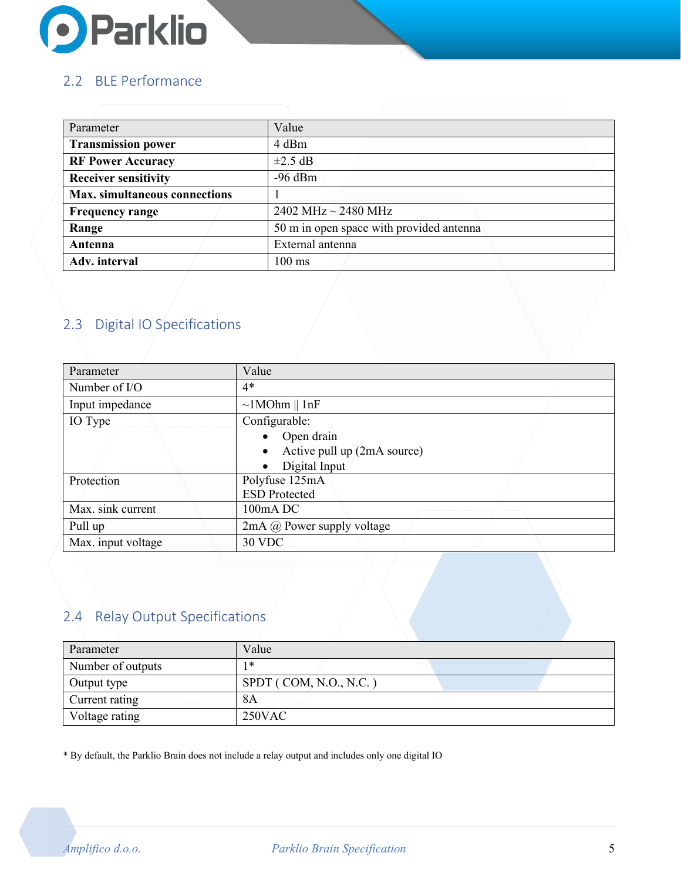

#### <span id="page-4-0"></span>2.2 BLE Performance

| Parameter                            | Value                                    |
|--------------------------------------|------------------------------------------|
| <b>Transmission power</b>            | 4 dBm                                    |
| <b>RF Power Accuracy</b>             | $\pm 2.5$ dB                             |
| <b>Receiver sensitivity</b>          | $-96$ dBm                                |
| <b>Max.</b> simultaneous connections |                                          |
| <b>Frequency range</b>               | 2402 MHz $\sim$ 2480 MHz                 |
| Range                                | 50 m in open space with provided antenna |
| Antenna                              | External antenna                         |
| Adv. interval                        | $100 \text{ ms}$                         |

### <span id="page-4-1"></span>2.3 Digital IO Specifications

| Parameter          | Value                                    |
|--------------------|------------------------------------------|
| Number of $I/O$    | $4*$                                     |
| Input impedance    | $\sim$ 1MOhm    1nF                      |
| IO Type            | Configurable:                            |
|                    | • Open drain                             |
|                    | Active pull up (2mA source)<br>$\bullet$ |
|                    | Digital Input<br>$\bullet$               |
| Protection         | Polyfuse 125mA                           |
|                    | <b>ESD Protected</b>                     |
| Max. sink current  | 100mA DC                                 |
| Pull up            | 2mA @ Power supply voltage               |
| Max. input voltage | 30 VDC                                   |

#### <span id="page-4-2"></span>2.4 Relay Output Specifications

| Parameter         | Value                  |
|-------------------|------------------------|
| Number of outputs | *                      |
| Output type       | SPDT (COM, N.O., N.C.) |
| Current rating    | 8Α                     |
| Voltage rating    | $250$ VAC              |

\* By default, the Parklio Brain does not include a relay output and includes only one digital IO